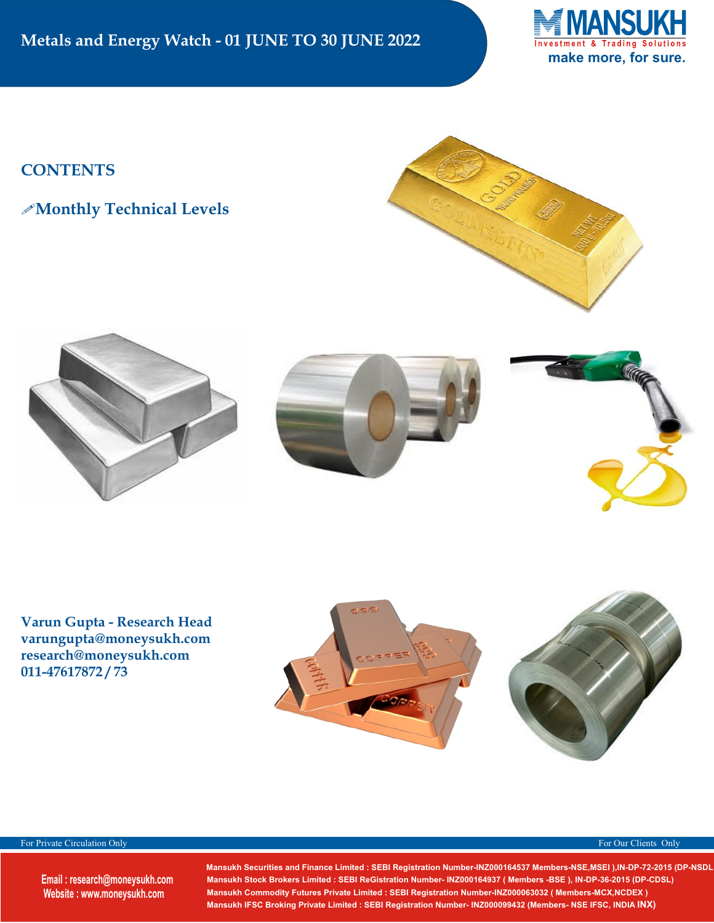

### **CONTENTS**

!**Monthly Technical Levels**









**Varun Gupta - Research Head varungupta@moneysukh.com research@moneysukh.com 011-47617872 / 73**





For Private Circulation Only **For Our Clients Only For Our Clients Only** For Our Clients Only

**Email : research@moneysukh.com Website : www.moneysukh.com**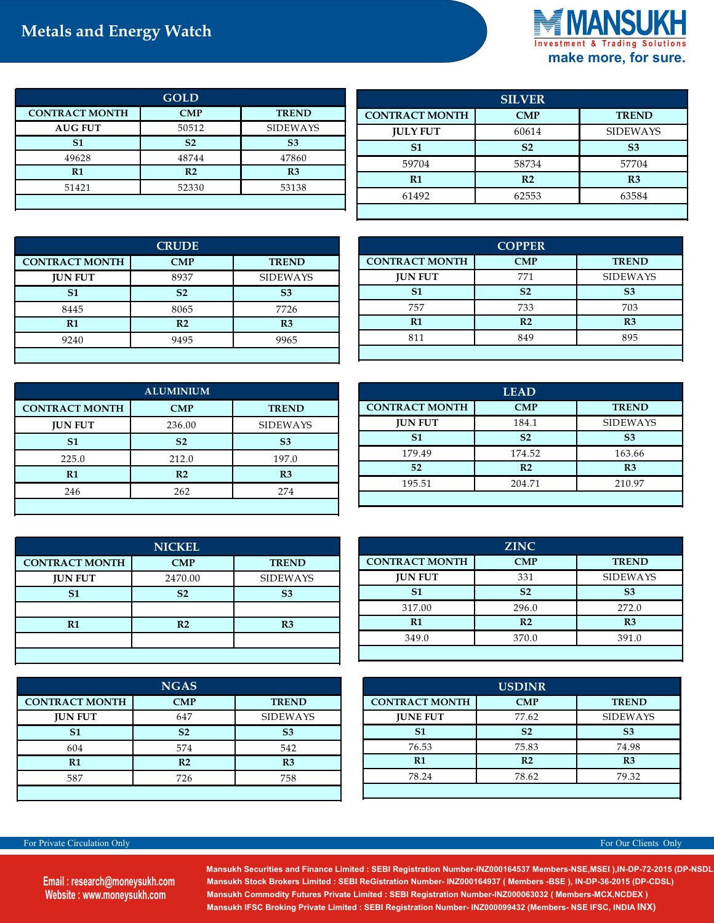## **Metals and Energy Watch**



|                       | <b>GOLD</b>    |                 |
|-----------------------|----------------|-----------------|
| <b>CONTRACT MONTH</b> | CMP            | <b>TREND</b>    |
| <b>AUG FUT</b>        | 50512          | <b>SIDEWAYS</b> |
| S <sub>1</sub>        | S <sub>2</sub> | S <sub>3</sub>  |
| 49628                 | 48744          | 47860           |
| R1                    | R <sub>2</sub> | R <sub>3</sub>  |
| 51421                 | 52330          | 53138           |
|                       |                |                 |

| <b>SILVER</b>         |                |                 |
|-----------------------|----------------|-----------------|
| <b>CONTRACT MONTH</b> | CMP            | <b>TREND</b>    |
| <b>JULY FUT</b>       | 60614          | <b>SIDEWAYS</b> |
| S <sub>1</sub>        | S <sub>2</sub> | S <sub>3</sub>  |
| 59704                 | 58734          | 57704           |
| R1                    | R <sub>2</sub> | R <sub>3</sub>  |
| 61492                 | 62553          | 63584           |
|                       |                |                 |

| <b>CRUDE</b>          |                |                 |
|-----------------------|----------------|-----------------|
| <b>CONTRACT MONTH</b> | CMP            | <b>TREND</b>    |
| <b>JUN FUT</b>        | 8937           | <b>SIDEWAYS</b> |
| S <sub>1</sub>        | S <sub>2</sub> | S <sub>3</sub>  |
| 8445                  | 8065           | 7726            |
| R1                    | R <sub>2</sub> | R <sub>3</sub>  |
| 9240                  | 9495           | 9965            |
|                       |                |                 |

| <b>COPPER</b>         |                |                 |  |
|-----------------------|----------------|-----------------|--|
| <b>CONTRACT MONTH</b> | <b>CMP</b>     | <b>TREND</b>    |  |
| <b>JUN FUT</b>        | 771            | <b>SIDEWAYS</b> |  |
| S <sub>1</sub>        | S <sub>2</sub> | S <sub>3</sub>  |  |
| 757                   | 733            | 703             |  |
| R1                    | R <sub>2</sub> | R <sub>3</sub>  |  |
| 811                   | 849            | 895             |  |
|                       |                |                 |  |

| <b>ALUMINIUM</b>      |                |                 |
|-----------------------|----------------|-----------------|
| <b>CONTRACT MONTH</b> | <b>CMP</b>     | <b>TREND</b>    |
| <b>IUN FUT</b>        | 236.00         | <b>SIDEWAYS</b> |
| S <sub>1</sub>        | S <sub>2</sub> | S <sub>3</sub>  |
| 225.0                 | 212.0          | 197.0           |
| R1                    | R <sub>2</sub> | R <sub>3</sub>  |
| 246                   | 262            | 274             |
|                       |                |                 |

| <b>LEAD</b>           |                |                 |
|-----------------------|----------------|-----------------|
| <b>CONTRACT MONTH</b> | CMP            | <b>TREND</b>    |
| <b>JUN FUT</b>        | 184.1          | <b>SIDEWAYS</b> |
| S <sub>1</sub>        | S <sub>2</sub> | S <sub>3</sub>  |
| 179.49                | 174.52         | 163.66          |
| 52                    | R <sub>2</sub> | R <sub>3</sub>  |
| 195.51                | 204.71         | 210.97          |
|                       |                |                 |

| <b>NICKEL</b>         |                |                 |
|-----------------------|----------------|-----------------|
| <b>CONTRACT MONTH</b> | CMP            | <b>TREND</b>    |
| <b>JUN FUT</b>        | 2470.00        | <b>SIDEWAYS</b> |
| <b>S1</b>             | S <sub>2</sub> | S <sub>3</sub>  |
|                       |                |                 |
| R1                    | R <sub>2</sub> | R <sub>3</sub>  |
|                       |                |                 |
|                       |                |                 |

| <b>NGAS</b>           |                |                 |
|-----------------------|----------------|-----------------|
| <b>CONTRACT MONTH</b> | <b>CMP</b>     | <b>TREND</b>    |
| <b>JUN FUT</b>        | 647            | <b>SIDEWAYS</b> |
| S <sub>1</sub>        | S <sub>2</sub> | S <sub>3</sub>  |
| 604                   | 574            | 542             |
| R1                    | R <sub>2</sub> | R <sub>3</sub>  |
| 587                   | 726            | 758             |
|                       |                |                 |

| <b>ZINC</b>           |                |                 |
|-----------------------|----------------|-----------------|
| <b>CONTRACT MONTH</b> | CMP            | <b>TREND</b>    |
| <b>JUN FUT</b>        | 331            | <b>SIDEWAYS</b> |
| S <sub>1</sub>        | S <sub>2</sub> | S <sub>3</sub>  |
| 317.00                | 296.0          | 272.0           |
| $_{\rm R1}$           | R <sub>2</sub> | R <sub>3</sub>  |
| 349.0                 | 370.0          | 391.0           |
|                       |                |                 |

| <b>USDINR</b>         |                |                 |
|-----------------------|----------------|-----------------|
| <b>CONTRACT MONTH</b> | CMP            | <b>TREND</b>    |
| <b>JUNE FUT</b>       | 77.62          | <b>SIDEWAYS</b> |
| S <sub>1</sub>        | S <sub>2</sub> | S <sub>3</sub>  |
| 76.53                 | 75.83          | 74.98           |
| R <sub>1</sub>        | R <sub>2</sub> | R <sub>3</sub>  |
| 78.24                 | 78.62          | 79.32           |
|                       |                |                 |

For Private Circulation Only For Our Clients Only For Our Clients Only

**Email : research@moneysukh.com Website : www.moneysukh.com**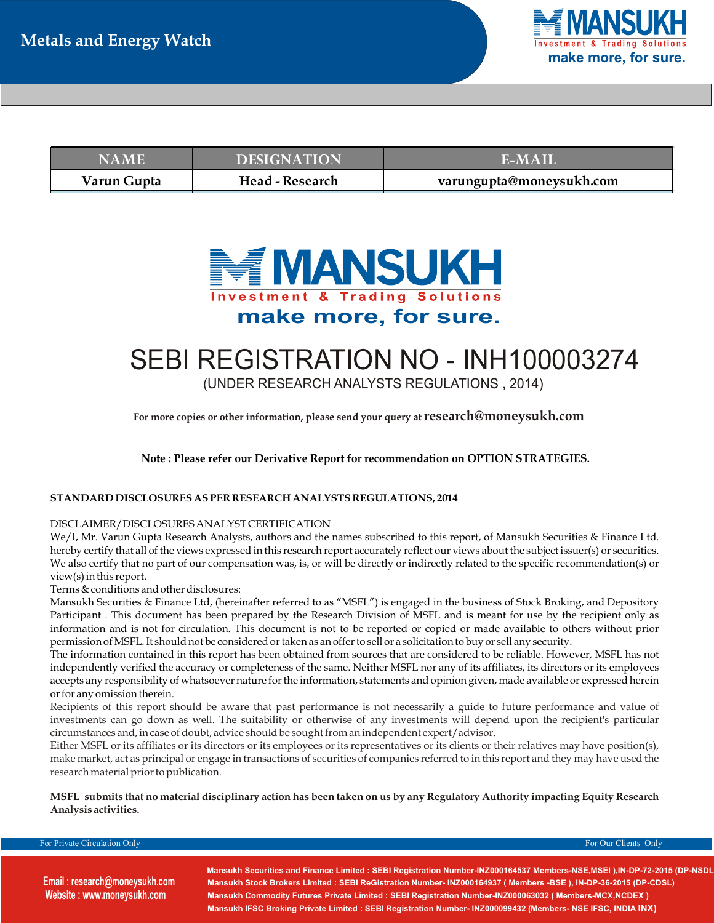

| NAME        | <b>DESIGNATION</b>     | $F-MATI$                 |
|-------------|------------------------|--------------------------|
| Varun Gupta | <b>Head - Research</b> | varungupta@moneysukh.com |



# SEBI REGISTRATION NO - INH100003274 (UNDER RESEARCH ANALYSTS REGULATIONS , 2014)

**For more copies or other information, please send your query atresearch@moneysukh.com**

**Note : Please refer our Derivative Report for recommendation on OPTION STRATEGIES.**

### **STANDARD DISCLOSURES AS PER RESEARCH ANALYSTS REGULATIONS, 2014**

#### DISCLAIMER/DISCLOSURES ANALYST CERTIFICATION

We/I, Mr. Varun Gupta Research Analysts, authors and the names subscribed to this report, of Mansukh Securities & Finance Ltd. hereby certify that all of the views expressed in this research report accurately reflect our views about the subject issuer(s) or securities. We also certify that no part of our compensation was, is, or will be directly or indirectly related to the specific recommendation(s) or view(s) in this report.

Terms & conditions and other disclosures:

Mansukh Securities & Finance Ltd, (hereinafter referred to as "MSFL") is engaged in the business of Stock Broking, and Depository Participant . This document has been prepared by the Research Division of MSFL and is meant for use by the recipient only as information and is not for circulation. This document is not to be reported or copied or made available to others without prior permission of MSFL. It should not be considered or taken as an offer to sell or a solicitation to buy or sell any security.

The information contained in this report has been obtained from sources that are considered to be reliable. However, MSFL has not independently verified the accuracy or completeness of the same. Neither MSFL nor any of its affiliates, its directors or its employees accepts any responsibility of whatsoever nature for the information, statements and opinion given, made available or expressed herein or for any omission therein.

Recipients of this report should be aware that past performance is not necessarily a guide to future performance and value of investments can go down as well. The suitability or otherwise of any investments will depend upon the recipient's particular circumstances and, in case of doubt, advice should be sought from an independent expert/advisor.

Either MSFL or its affiliates or its directors or its employees or its representatives or its clients or their relatives may have position(s), make market, act as principal or engage in transactions of securities of companies referred to in this report and they may have used the research material prior to publication.

**MSFL submits that no material disciplinary action has been taken on us by any Regulatory Authority impacting Equity Research Analysis activities.**

For Private Circulation Only **For Clients Only For Our Clients Only** For Our Clients Only **For Our Clients Only** 

**Email : research@moneysukh.com Website : www.moneysukh.com**